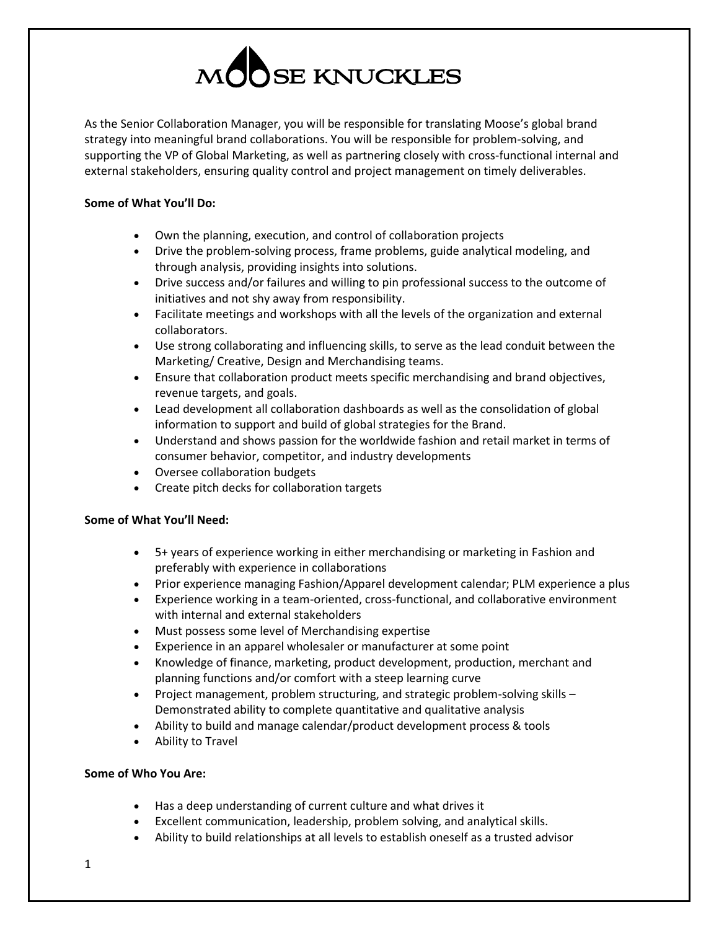

As the Senior Collaboration Manager, you will be responsible for translating Moose's global brand strategy into meaningful brand collaborations. You will be responsible for problem-solving, and supporting the VP of Global Marketing, as well as partnering closely with cross-functional internal and external stakeholders, ensuring quality control and project management on timely deliverables.

## **Some of What You'll Do:**

- Own the planning, execution, and control of collaboration projects
- Drive the problem-solving process, frame problems, guide analytical modeling, and through analysis, providing insights into solutions.
- Drive success and/or failures and willing to pin professional success to the outcome of initiatives and not shy away from responsibility.
- Facilitate meetings and workshops with all the levels of the organization and external collaborators.
- Use strong collaborating and influencing skills, to serve as the lead conduit between the Marketing/ Creative, Design and Merchandising teams.
- Ensure that collaboration product meets specific merchandising and brand objectives, revenue targets, and goals.
- Lead development all collaboration dashboards as well as the consolidation of global information to support and build of global strategies for the Brand.
- Understand and shows passion for the worldwide fashion and retail market in terms of consumer behavior, competitor, and industry developments
- Oversee collaboration budgets
- Create pitch decks for collaboration targets

## **Some of What You'll Need:**

- 5+ years of experience working in either merchandising or marketing in Fashion and preferably with experience in collaborations
- Prior experience managing Fashion/Apparel development calendar; PLM experience a plus
- Experience working in a team-oriented, cross-functional, and collaborative environment with internal and external stakeholders
- Must possess some level of Merchandising expertise
- Experience in an apparel wholesaler or manufacturer at some point
- Knowledge of finance, marketing, product development, production, merchant and planning functions and/or comfort with a steep learning curve
- Project management, problem structuring, and strategic problem-solving skills Demonstrated ability to complete quantitative and qualitative analysis
- Ability to build and manage calendar/product development process & tools
- Ability to Travel

## **Some of Who You Are:**

- Has a deep understanding of current culture and what drives it
- Excellent communication, leadership, problem solving, and analytical skills.
- Ability to build relationships at all levels to establish oneself as a trusted advisor